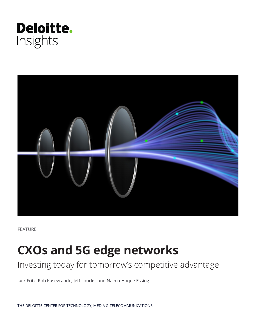



FEATURE

# **CXOs and 5G edge networks**

# Investing today for tomorrow's competitive advantage

Jack Fritz, Rob Kasegrande, Jeff Loucks, and Naima Hoque Essing

THE DELOITTE CENTER FOR TECHNOLOGY, MEDIA & TELECOMMUNICATIONS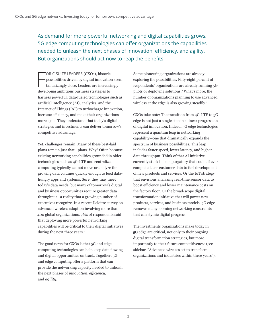As demand for more powerful networking and digital capabilities grows, 5G edge computing technologies can offer organizations the capabilities needed to unleash the next phases of innovation, efficiency, and agility. But organizations should act now to reap the benefits.

F OR C-SUITE LEADERS (CXOs), historic possibilities driven by digital innovation seem tantalizingly close. Leaders are increasingly developing ambitious business strategies to harness powerful, data-fueled technologies such as artificial intelligence (AI), analytics, and the Internet of Things (IoT) to turbocharge innovation, increase efficiency, and make their organizations more agile. They understand that today's digital strategies and investments can deliver tomorrow's competitive advantage.

Yet, challenges remain. Many of these best-laid plans remain just that—plans. Why? Often because existing networking capabilities grounded in older technologies such as 4G-LTE and centralized computing typically cannot move or analyze the growing data volumes quickly enough to feed datahungry apps and systems. Sure, they may meet today's data needs, but many of tomorrow's digital and business opportunities require greater data throughput—a reality that a growing number of executives recognize. In a recent Deloitte survey on advanced wireless adoption involving more than 400 global organizations, 76% of respondents said that deploying more powerful networking capabilities will be critical to their digital initiatives during the next three years.<sup>1</sup>

The good news for CXOs is that 5G and edge computing technologies can help keep data flowing and digital opportunities on track. Together, 5G and edge computing offer a platform that can provide the networking capacity needed to unleash the next phases of *innovation*, *efficiency*, and *agility*.

Some pioneering organizations are already exploring the possibilities. Fifty-eight percent of respondents' organizations are already running 5G pilots or deploying solutions.2 What's more, the number of organizations planning to use advanced wireless at the edge is also growing steadily.3

CXOs take note: The transition from 4G-LTE to 5G edge is not just a single step in a linear progression of digital innovation. Indeed, 5G edge technologies represent a quantum leap in networking capability—one that dramatically expands the spectrum of business possibilities. This leap includes faster speed, lower latency, and higher data throughput. Think of that AI initiative currently stuck in beta purgatory that could, if ever completed, use customer data to fuel development of new products and services. Or the IoT strategy that envisions analyzing real-time sensor data to boost efficiency and lower maintenance costs on the factory floor. Or the broad-scope digital transformation initiative that will power new products, services, and business models. 5G edge removes many looming networking constraints that can stymie digital progress.

The investments organizations make today in 5G edge are critical, not only to their ongoing digital transformation strategies, but more importantly to their future competitiveness (see sidebar, "Advanced wireless set to transform organizations and industries within three years").

**2**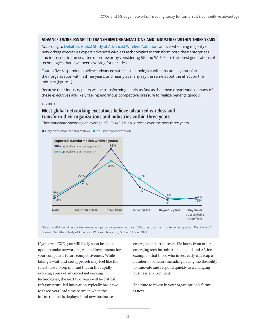#### **ADVANCED WIRELESS SET TO TRANSFORM ORGANIZATIONS AND INDUSTRIES WITHIN THREE YEARS**

According to [Deloitte's Global Study of](https://www2.deloitte.com/us/en/insights/industry/technology/global-5g-transformation.html) [Advanced Wireless Adoption](https://www2.deloitte.com/us/en/insights/industry/technology/global-5g-transformation.html?id=us:2em:3na:5gcxo:awa:di:061821), an overwhelming majority of networking executives expect advanced wireless technologies to transform both their enterprises and industries in the near term—noteworthy considering 5G and Wi-Fi 6 are the latest generations of technologies that have been evolving for decades.

Four in five respondents believe advanced wireless technologies will substantially transform their organization within three years, and nearly as many say the same about the effect on their industry (figure 1).

Because their industry peers will be transforming nearly as fast as their own organizations, many of these executives are likely feeling enormous competitive pressure to realize benefits quickly.

#### FIGURE 1

## **Most global networking executives believe advanced wireless will transform their organizations and industries within three years**

They anticipate spending an average of US\$149.7M on wireless over the next three years.

 $\bullet$  Organizational transformation  $\quadblacksquare$  Industry transformation



Notes: N=437 global networking executives; percentages may not total 100%, due to a small number who reported "Don't know." Source: Deloitte's Study of Advanced Wireless Adoption, Global Edition, 2021.

If you are a CXO, you will likely soon be called upon to make networking-related investments for your company's future competitiveness. While taking a wait-and-see approach may feel like the safest move, keep in mind that in the rapidly evolving arena of advanced networking technologies, the next two years will be critical. Infrastructure-led innovation typically has a twoto three-year lead time between when the infrastructure is deployed and new businesses

emerge and start to scale. We know from other emerging tech introductions—cloud and AI, for example—that those who invest early can reap a number of benefits, including having the flexibility to innovate and respond quickly to a changing business environment.

The time to invest in your organization's future is now.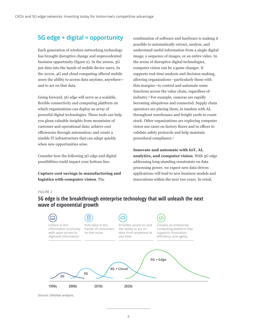# **5G edge + digital = opportunity**

Each generation of wireless networking technology has brought disruptive change and unprecedented business opportunity (figure 2). In the 2000s, 3G put data into the hands of mobile device users. In the 2010s, 4G and cloud computing offered mobile users the ability to access data anytime, anywhere and to act on that data.

Going forward, 5G edge will serve as a scalable, flexible connectivity and computing platform on which organizations can deploy an array of powerful digital technologies. These tools can help you glean valuable insights from mountains of customer and operational data; achieve cost efficiencies through automation; and create a nimble IT infrastructure that can adapt quickly when new opportunities arise.

Consider how the following 5G edge and digital possibilities could impact your bottom line:

**Capture cost savings in manufacturing and logistics with computer vision**. The

combination of software and hardware is making it possible to automatically extract, analyze, and understand useful information from a single digital image, a sequence of images, or an entire video. In the arena of disruptive digital technologies, computer vision can be a game changer. It supports real-time analysis and decision-making, allowing organizations—particularly those with thin margins—to control and automate some functions across the value chain, regardless of industry.4 For example, cameras are rapidly becoming ubiquitous and connected. Supply chain operators are placing them, in tandem with AI, throughout warehouses and freight yards to count stock. Other organizations are exploring computer vision use cases on factory floors and in offices to validate safety protocols and help maintain procedural compliance.<sup>5</sup>

**Innovate and automate with IoT, AI, analytics, and computer vision**. With 5G edge addressing long-standing constraints on data processing power, we expect new data-driven applications will lead to new business models and innovations within the next two years. In retail,

#### FIGURE 2

# **5G edge is the breakthrough enterprise technology that will unleash the next wave of exponential growth**



Source: Deloitte analysis.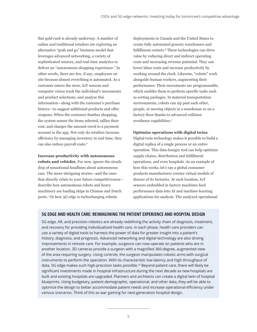this gold rush is already underway. A number of online and traditional retailers are exploring an alternative "grab and go" business model that leverages advanced networking, a variety of sophisticated sensors, and real-time analytics to deliver an "autonomous shopping experience." In other words, there are few, if any, employees on site because almost everything is automated. As a customer enters the store, IoT sensors and computer vision track the individual's movements and product selections, and analyze this information—along with the customer's purchase history—to suggest additional products and offer coupons. When the customer finishes shopping, the system senses the items selected, tallies their cost, and charges the amount owed to a payment account in the app. Not only do retailers increase efficiency by managing inventory in real time, they can also reduce payroll costs.<sup>6</sup>

#### **Increase productivity with autonomous**

**robots and vehicles**. For now, ignore the steady drip of sensational headlines about autonomous cars. The more intriguing stories—and the ones that directly relate to your future competitiveness describe how autonomous robots and heavy machinery are loading ships in Chinese and Dutch ports.7 Or how 5G edge is turbocharging robotic

deployments in Canada and the United States to create fully automated grocery warehouses and fulfillment centers.<sup>8</sup> These technologies can drive value by reducing direct and indirect operating costs and increasing revenue potential. They can lower labor costs and increase productivity by working around the clock. Likewise, "cobots" work alongside human workers, augmenting their performance. Their movements are programmable, which enables them to perform specific tasks such as sorting packages. In material transportation environments, cobots can zip past each other, people, or moving objects in a warehouse or on a factory floor thanks to advanced collision avoidance capabilities.9

#### **Optimize operations with digital twins**.

Digital twin technology makes it possible to build a digital replica of a single process or an entire operation. This data-hungry tool can help optimize supply chains, distribution and fulfillment operations, and even hospitals. As an example of how this works, let's say a global consumer products manufacturer creates virtual models of dozens of its factories. At each location, IoT sensors embedded in factory machines feed performance data into AI and machine learning applications for analysis. The analyzed operational

### **5G EDGE AND HEALTH CARE: REIMAGINING THE PATIENT EXPERIENCE AND HOSPITAL DESIGN**

5G edge, AR, and precision robotics are already redefining the activity chain of diagnosis, treatment, and recovery for providing individualized health care. In each phase, health care providers can use a variety of digital tools to harness the power of data for greater insight into a patient's history, diagnosis, and prognosis. Advanced networking and digital technology are also driving improvements in remote care. For example, surgeons can now operate on patients who are in another location. 3D cameras provide a surgeon with a magnified 360-degree, augmented view of the area requiring surgery. Using controls, the surgeon manipulates robotic arms with surgical instruments to perform the operation. With its characteristic low latency and high throughput of data, 5G edge makes such high-precision tasks possible.<sup>10</sup> Beyond patient care, there will likely be significant investments made in hospital infrastructure during the next decade as new hospitals are built and existing hospitals are upgraded. Planners and architects can create a digital twin of hospital blueprints. Using budgetary, patient demographic, operational, and other data, they will be able to optimize the design to better accommodate patient needs and increase operational efficiency under various scenarios. Think of this as war gaming for next-generation hospital design.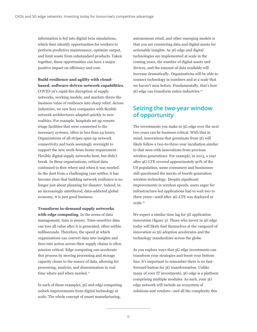information is fed into digital twin simulations, which then identify opportunities for workers to perform predictive maintenance, optimize output, and limit waste from substandard products. Taken together, these opportunities can have a major positive impact on efficiency and cost.

**Build resilience and agility with cloudbased, software-driven network capabilities**. COVID-19's rapid-fire disruption of supply networks, working models, and markets threw the business value of resilience into sharp relief. Across industries, we saw how companies with flexible network architectures adapted quickly to new realities. For example, hospitals set up remote triage facilities that were connected to the necessary systems, often in less than 24 hours. Organizations of all stripes spun up network connectivity and tools seemingly overnight to support the new work-from-home requirement. Flexible digital supply networks bent, but didn't break. In these organizations, critical data continued to flow where and when it was needed. As the dust from a challenging year settles, it has become clear that building network resilience is no longer just about planning for disaster. Indeed, in an increasingly untethered, data-addicted global economy, it is just good business.

**Transform in-demand supply networks with edge computing**. In the arena of data management, time is money. Time-sensitive data can lose all value after it is generated, often within milliseconds. Therefore, the speed at which organizations can convert data into insights and then into action across their supply chains is often mission critical. Edge computing can accelerate this process by moving processing and storage capacity closer to the source of data, allowing for processing, analysis, and dissemination in real time where and when needed.<sup>11</sup>

In each of these examples, 5G and edge computing unlock improvements from digital technology at scale. The whole concept of smart manufacturing,

autonomous retail, and other emerging models is that you are connecting data and digital assets for actionable insights. As 5G edge and digital technologies are implemented at scale in the coming years, the number of digital assets and devices, and the amount of data available will increase dramatically. Organizations will be able to connect technology in numbers and at a scale that we haven't seen before. Fundamentally, that's how 5G edge can transform entire industries.<sup>12</sup>

# **Seizing the two-year window of opportunity**

The investments you make in 5G edge over the next two years can be business critical. With that in mind, innovations that germinate from 5G will likely follow a two-to-three-year incubation similar to that seen with innovations from previous wireless generations. For example, in 2013, a year after 4G-LTE covered approximately 90% of the US population, some consumers and businesses still questioned the merits of fourth-generation wireless technology. Despite significant improvements in wireless speeds, users eager for infrastructure-led applications had to wait two to three years—until after 4G-LTE was deployed at scale.13

We expect a similar time lag for 5G application innovation (figure 3). Those who invest in 5G edge today will likely find themselves at the vanguard of innovation as 5G adoption accelerates and the technology standardizes across the globe.

As you explore ways that 5G edge investments can transform your strategies and boost your bottom line, it's important to remember there is no fastforward button for 5G transformation. Unlike many of your IT investments, 5G edge is a platform comprising multiple modules. As such, your 5G edge network will include an ecosystem of solutions and vendors—and all the complexity this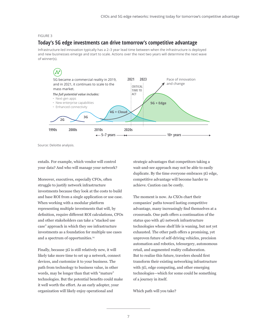#### FIGURE 3

### **Today's 5G edge investments can drive tomorrow's competitive advantage**

Infrastructure-led innovation typically has a 2–3 year lead time between when the infrastructure is deployed and new businesses emerge and start to scale. Actions over the next two years will determine the next wave of winner(s).



Source: Deloitte analysis.

entails. For example, which vendor will control your data? And who will manage your network?

Moreover, executives, especially CFOs, often struggle to justify network infrastructure investments because they look at the costs to build and base ROI from a single application or use case. When working with a modular platform representing multiple investments that will, by definition, require different ROI calculations, CFOs and other stakeholders can take a "stacked use case" approach in which they see infrastructure investments as a foundation for multiple use cases and a spectrum of opportunities.14

Finally, because 5G is still relatively new, it will likely take more time to set up a network, connect devices, and customize it to your business. The path from technology to business value, in other words, may be longer than that with "mature" technologies. But the potential benefits could make it well worth the effort. As an early adopter, your organization will likely enjoy operational and

strategic advantages that competitors taking a wait-and-see approach may not be able to easily duplicate. By the time everyone embraces 5G edge, competitive advantage will become harder to achieve. Caution can be costly.

The moment is now. As CXOs chart their companies' paths toward lasting competitive advantage, many increasingly find themselves at a crossroads. One path offers a continuation of the status quo with 4G network infrastructure technologies whose shelf life is waning, but not yet exhausted. The other path offers a promising, yet unproven future of self-driving vehicles, precision automation and robotics, telesurgery, autonomous retail, and augmented reality collaboration. But to realize this future, travelers should first transform their existing networking infrastructure with 5G, edge computing, and other emerging technologies—which for some could be something of a journey in itself.

Which path will you take?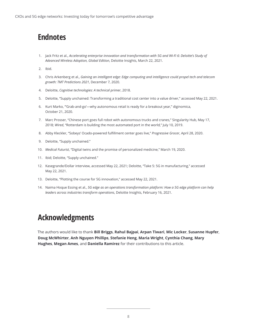# **Endnotes**

- 1. Jack Fritz et al., *Accelerating enterprise innovation and transformation with 5G and Wi-Fi 6: Deloitte's Study of Advanced Wireless Adoption, Global Edition*, Deloitte Insights, March 22, 2021.
- 2. Ibid.
- 3. Chris Arkenberg et al., *Gaining an intelligent edge: Edge computing and intelligence could propel tech and telecom growth: TMT Predictions 2021*, December 7, 2020.
- 4. Deloitte, *Cognitive technologies: A technical primer*, 2018.
- 5. Deloitte, "Supply unchained: Transforming a traditional cost center into a value driver," accessed May 22, 2021.
- 6. Kurt Marko, "'Grab-and-go'—why autonomous retail is ready for a breakout year," diginomica, October 21, 2020.
- 7. Marc Prosser, "Chinese port goes full robot with autonomous trucks and cranes," Singularity Hub, May 17, 2018; *Wired*, "Rotterdam is building the most automated port in the world," July 10, 2019.
- 8. Abby Kleckler, "Sobeys' Ocado-powered fulfillment center goes live," *Progressive Grocer*, April 28, 2020.
- 9. Deloitte, "Supply unchained."
- 10. *Medical Futurist*, "Digital twins and the promise of personalized medicine," March 19, 2020.
- 11. Ibid; Deloitte, "Supply unchained."
- 12. Kasegrande/Dolla[r interview,](https://www2.deloitte.com/us/en/pages/consulting/articles/take-five-on-5g-in-manufacturing.html) accessed May 22, 2021; Deloitte, "Take 5: 5G in manufacturing," accessed May 22, 2021.
- 13. Deloitte, "Plotting the course for 5G innovation," accessed May 22, 2021.
- 14. Naima Hoque Essing et al., *5G edge as an operations transformation platform: How a 5G edge platform can help leaders across industries transform operations*, Deloitte Insights, February 16, 2021.

# **Acknowledgments**

The authors would like to thank **Bill Briggs**, **Rahul Bajpai**, **Arpan Tiwari**, **Mic Locker**, **Susanne Hupfer**, **Doug McWhirter**, **Anh Nguyen Phillips**, **Stefanie Heng**, **Maria Wright**, **Cynthia Chang**, **Mary Hughes**, **Megan Ames**, and **Daniella Ramirez** for their contributions to this article.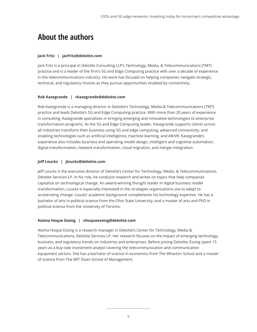# **About the authors**

#### **Jack Fritz | jacfritz@deloitte.com**

Jack Fritz is a principal in Deloitte Consulting LLP's Technology, Media, & Telecommunications (TMT) practice and is a leader of the firm's 5G and Edge Computing practice with over a decade of experience in the telecommunications industry. His work has focused on helping companies navigate strategic, technical, and regulatory choices as they pursue opportunities enabled by connectivity.

#### **Rob Kasegrande | rkasegrande@deloitte.com**

Rob Kasegrande is a managing director in Deloitte's Technology, Media & Telecommunications (TMT) practice and leads Deloitte's 5G and Edge Computing practice. With more than 20 years of experience in consulting, Kasegrande specializes in bringing emerging and innovative technologies to enterprise transformation programs. As the 5G and Edge Computing leader, Kasegrande supports clients across all industries transform their business using 5G and edge computing, advanced connectivity, and enabling technologies such as artificial intelligence, machine learning, and AR/VR. Kasegrande's experience also includes business and operating model design, intelligent and cognitive automation, digital transformation, network transformation, cloud migration, and merger integration.

#### **Jeff Loucks | jloucks@deloitte.com**

Jeff Loucks is the executive director of Deloitte's Center for Technology, Media, & Telecommunications, Deloitte Services LP. In his role, he conducts research and writes on topics that help companies capitalize on technological change. An award-winning thought leader in digital business model transformation, Loucks is especially interested in the strategies organizations use to adapt to accelerating change. Loucks' academic background complements his technology expertise. He has a bachelor of arts in political science from the Ohio State University, and a master of arts and PhD in political science from the University of Toronto.

#### **Naima Hoque Essing | nhoqueessing@deloitte.com**

Naima Hoque Essing is a research manager in Deloitte's Center for Technology, Media & Telecommunications, Deloitte Services LP. Her research focuses on the impact of emerging technology, business, and regulatory trends on industries and enterprises. Before joining Deloitte, Essing spent 15 years as a buy-side investment analyst covering the telecommunication and communication equipment sectors. She has a bachelor of science in economics from The Wharton School and a master of science from The MIT Sloan School of Management.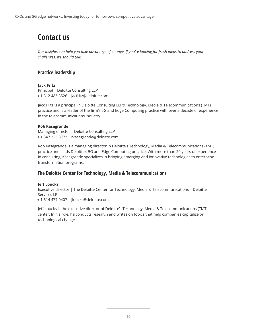# **Contact us**

*Our insights can help you take advantage of change. If you're looking for fresh ideas to address your challenges, we should talk.*

# **Practice leadership**

#### **Jack Fritz**

Principal | Deloitte Consulting LLP + 1 312 486 3526 | jacfritz@deloitte.com

Jack Fritz is a principal in Deloitte Consulting LLP's Technology, Media & Telecommunications (TMT) practice and is a leader of the firm's 5G and Edge Computing practice with over a decade of experience in the telecommunications industry.

#### **Rob Kasegrande**

Managing director | Deloitte Consulting LLP + 1 347 325 3772 | rkasegrande@deloitte.com

Rob Kasegrande is a managing director in Deloitte's Technology, Media & Telecommunications (TMT) practice and leads Deloitte's 5G and Edge Computing practice. With more than 20 years of experience in consulting, Kasegrande specializes in bringing emerging and innovative technologies to enterprise transformation programs.

### **The Deloitte Center for Technology, Media & Telecommunications**

#### **Jeff Loucks**

Executive director | The Deloitte Center for Technology, Media & Telecommunications | Deloitte Services LP

+ 1 614 477 0407 | jloucks@deloitte.com

Jeff Loucks is the executive director of Deloitte's Technology, Media & Telecommunications (TMT) center. In his role, he conducts research and writes on topics that help companies capitalize on technological change.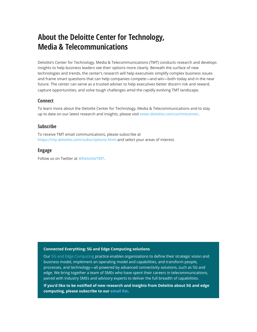# **About the Deloitte Center for Technology, Media & Telecommunications**

Deloitte's Center for Technology, Media & Telecommunications (TMT) conducts research and develops insights to help business leaders see their options more clearly. Beneath the surface of new technologies and trends, the center's research will help executives simplify complex business issues and frame smart questions that can help companies compete—and win—both today and in the near future. The center can serve as a trusted adviser to help executives better discern risk and reward, capture opportunities, and solve tough challenges amid the rapidly evolving TMT landscape.

### **Connect**

To learn more about the Deloitte Center for Technology, Media & Telecommunications and to stay up to date on our latest research and insights, please visit **[www.deloitte.com/us/tmtcenter](http://www.deloitte.com/us/tmtcenter)**.

### **Subscribe**

To receive TMT email communications, please subscribe at **<https://my.deloitte.com/subscriptions.html>** and select your areas of interest.

### **Engage**

Follow us on Twitter at **[@DeloitteTMT](https://twitter.com/DeloitteTMT?ref_src=twsrc%5Egoogle%7Ctwcamp%5Eserp%7Ctwgr%5Eauthor)**.

#### **Connected Everything: 5G and Edge Computing solutions**

Our [5G and Edge Computing](https://www2.deloitte.com/us/en/pages/consulting/solutions/5g-edge-computing-solutions.html?id=us:2em:3na:5gcxo:awa:di:061821) practice enables organizations to define their strategic vision and business model, implement an operating model and capabilities, and transform people, processes, and technology—all powered by advanced connectivity solutions, such as 5G and edge. We bring together a team of SMEs who have spent their careers in telecommunications, paired with industry SMEs and advisory experts to deliver the full breadth of capabilities.

**If you'd like to be notified of new research and insights from Deloitte about 5G and edge computing, please subscribe to our [email list.](https://www2.deloitte.com/us/en/pages/about-deloitte/articles/subscribe-to-receive-5g-and-edge-computing-insights.html?id=us:2em:3na:5gcxo:eng:di:061821)**